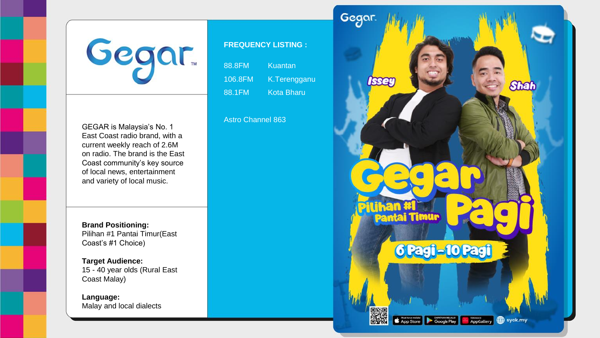

GEGAR is Malaysia's No. 1 East Coast radio brand, with a current weekly reach of 2.6M on radio. The brand is the East Coast community's key source of local news, entertainment and variety of local music.

**Brand Positioning:** Pilihan #1 Pantai Timur(East Coast's #1 Choice)

**Target Audience:** 15 - 40 year olds (Rural East Coast Malay)

**Language:** Malay and local dialects

## **FREQUENCY LISTING :**

| 88.8FM  | 'Kuantan     |
|---------|--------------|
| 106.8FM | K.Terengganu |
| 88.1FM  | Kota Bharu   |

Astro Channel 863

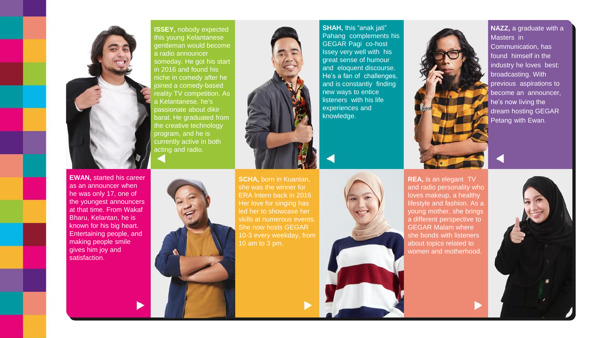

**ISSEY,** nobody expected this young Kelantanese gentleman would become a radio announcer someday. He got his start in 2016 and found his niche in comedy after he joined a comedy-based reality TV competition. As a Kelantanese, he's passionate about dikir barat. He graduated from the creative technology program, and he is currently active in both acting and radio.



**SHAH,** this "anak jati" Pahang complements his GEGAR Pagi co-host Issey very well with his great sense of humour and eloquent discourse. He's a fan of challenges, and is constantly finding new ways to entice listeners with his life experiences and knowledge.



**NAZZ,** a graduate with a Masters in Communication, has found himself in the industry he loves best: broadcasting. With previous aspirations to become an announcer, he's now living the dream hosting GEGAR Petang with Ewan.

**EWAN,** started his career as an announcer when he was only 17, one of the youngest announcers at that time. From Wakaf Bharu, Kelantan, he is known for his big heart. Entertaining people, and making people smile gives him joy and satisfaction.



**SCHA,** born in Kuantan, she was the winner for ERA Intern back in 2016. Her love for singing has skills at numerous events. She now hosts GEGAR 10 am to 3 pm.



**REA,** is an elegant TV and radio personality who loves makeup, a healthy lifestyle and fashion. As a young mother, she brings a different perspective to GEGAR Malam where she bonds with listeners about topics related to women and motherhood.